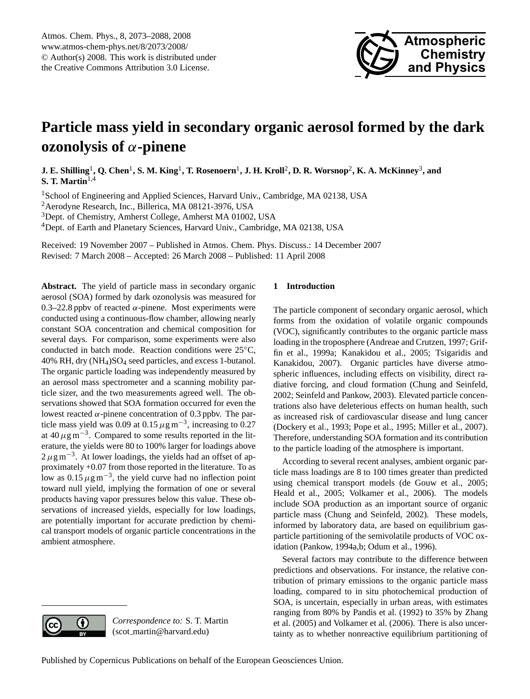

# <span id="page-0-0"></span>**Particle mass yield in secondary organic aerosol formed by the dark ozonolysis of** α**-pinene**

 ${\bf J.~E.~Shilling}^1, {\bf Q.~Chen}^1, {\bf S.~M.~King}^1, {\bf T.~Rosenoern}^1, {\bf J.~H.~Kroll}^2, {\bf D.~R.~Worsnop}^2, {\bf K.~A.~McKinney}^3, {\bf and}$ **S. T. Martin**1,4

<sup>1</sup>School of Engineering and Applied Sciences, Harvard Univ., Cambridge, MA 02138, USA <sup>2</sup>Aerodyne Research, Inc., Billerica, MA 08121-3976, USA <sup>3</sup>Dept. of Chemistry, Amherst College, Amherst MA 01002, USA <sup>4</sup>Dept. of Earth and Planetary Sciences, Harvard Univ., Cambridge, MA 02138, USA

Received: 19 November 2007 – Published in Atmos. Chem. Phys. Discuss.: 14 December 2007 Revised: 7 March 2008 – Accepted: 26 March 2008 – Published: 11 April 2008

**Abstract.** The yield of particle mass in secondary organic aerosol (SOA) formed by dark ozonolysis was measured for 0.3–22.8 ppby of reacted  $\alpha$ -pinene. Most experiments were conducted using a continuous-flow chamber, allowing nearly constant SOA concentration and chemical composition for several days. For comparison, some experiments were also conducted in batch mode. Reaction conditions were 25◦C, 40% RH, dry (NH4)SO<sup>4</sup> seed particles, and excess 1-butanol. The organic particle loading was independently measured by an aerosol mass spectrometer and a scanning mobility particle sizer, and the two measurements agreed well. The observations showed that SOA formation occurred for even the lowest reacted  $α$ -pinene concentration of 0.3 ppbv. The particle mass yield was 0.09 at 0.15  $\mu$ g m<sup>-3</sup>, increasing to 0.27 at 40  $\mu$ g m<sup>-3</sup>. Compared to some results reported in the literature, the yields were 80 to 100% larger for loadings above  $2 \mu$ g m<sup>-3</sup>. At lower loadings, the yields had an offset of approximately +0.07 from those reported in the literature. To as low as  $0.15 \mu g m^{-3}$ , the yield curve had no inflection point toward null yield, implying the formation of one or several products having vapor pressures below this value. These observations of increased yields, especially for low loadings, are potentially important for accurate prediction by chemical transport models of organic particle concentrations in the ambient atmosphere.

### **1 Introduction**

The particle component of secondary organic aerosol, which forms from the oxidation of volatile organic compounds (VOC), significantly contributes to the organic particle mass loading in the troposphere (Andreae and Crutzen, 1997; Griffin et al., 1999a; Kanakidou et al., 2005; Tsigaridis and Kanakidou, 2007). Organic particles have diverse atmospheric influences, including effects on visibility, direct radiative forcing, and cloud formation (Chung and Seinfeld, 2002; Seinfeld and Pankow, 2003). Elevated particle concentrations also have deleterious effects on human health, such as increased risk of cardiovascular disease and lung cancer (Dockery et al., 1993; Pope et al., 1995; Miller et al., 2007). Therefore, understanding SOA formation and its contribution to the particle loading of the atmosphere is important.

According to several recent analyses, ambient organic particle mass loadings are 8 to 100 times greater than predicted using chemical transport models (de Gouw et al., 2005; Heald et al., 2005; Volkamer et al., 2006). The models include SOA production as an important source of organic particle mass (Chung and Seinfeld, 2002). These models, informed by laboratory data, are based on equilibrium gasparticle partitioning of the semivolatile products of VOC oxidation (Pankow, 1994a,b; Odum et al., 1996).

Several factors may contribute to the difference between predictions and observations. For instance, the relative contribution of primary emissions to the organic particle mass loading, compared to in situ photochemical production of SOA, is uncertain, especially in urban areas, with estimates ranging from 80% by Pandis et al. (1992) to 35% by Zhang et al. (2005) and Volkamer et al. (2006). There is also uncertainty as to whether nonreactive equilibrium partitioning of



*Correspondence to:* S. T. Martin (scot martin@harvard.edu)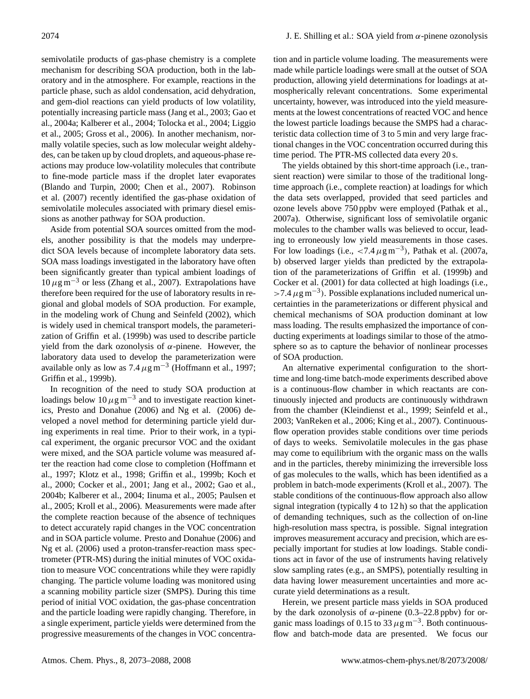semivolatile products of gas-phase chemistry is a complete mechanism for describing SOA production, both in the laboratory and in the atmosphere. For example, reactions in the particle phase, such as aldol condensation, acid dehydration, and gem-diol reactions can yield products of low volatility, potentially increasing particle mass (Jang et al., 2003; Gao et al., 2004a; Kalberer et al., 2004; Tolocka et al., 2004; Liggio et al., 2005; Gross et al., 2006). In another mechanism, normally volatile species, such as low molecular weight aldehydes, can be taken up by cloud droplets, and aqueous-phase reactions may produce low-volatility molecules that contribute to fine-mode particle mass if the droplet later evaporates (Blando and Turpin, 2000; Chen et al., 2007). Robinson et al. (2007) recently identified the gas-phase oxidation of semivolatile molecules associated with primary diesel emissions as another pathway for SOA production.

Aside from potential SOA sources omitted from the models, another possibility is that the models may underpredict SOA levels because of incomplete laboratory data sets. SOA mass loadings investigated in the laboratory have often been significantly greater than typical ambient loadings of  $10 \,\mu\text{g m}^{-3}$  or less (Zhang et al., 2007). Extrapolations have therefore been required for the use of laboratory results in regional and global models of SOA production. For example, in the modeling work of Chung and Seinfeld (2002), which is widely used in chemical transport models, the parameterization of Griffin et al. (1999b) was used to describe particle yield from the dark ozonolysis of  $α$ -pinene. However, the laboratory data used to develop the parameterization were available only as low as  $7.4 \mu g m^{-3}$  (Hoffmann et al., 1997; Griffin et al., 1999b).

In recognition of the need to study SOA production at loadings below  $10 \mu g m^{-3}$  and to investigate reaction kinetics, Presto and Donahue (2006) and Ng et al. (2006) developed a novel method for determining particle yield during experiments in real time. Prior to their work, in a typical experiment, the organic precursor VOC and the oxidant were mixed, and the SOA particle volume was measured after the reaction had come close to completion (Hoffmann et al., 1997; Klotz et al., 1998; Griffin et al., 1999b; Koch et al., 2000; Cocker et al., 2001; Jang et al., 2002; Gao et al., 2004b; Kalberer et al., 2004; Iinuma et al., 2005; Paulsen et al., 2005; Kroll et al., 2006). Measurements were made after the complete reaction because of the absence of techniques to detect accurately rapid changes in the VOC concentration and in SOA particle volume. Presto and Donahue (2006) and Ng et al. (2006) used a proton-transfer-reaction mass spectrometer (PTR-MS) during the initial minutes of VOC oxidation to measure VOC concentrations while they were rapidly changing. The particle volume loading was monitored using a scanning mobility particle sizer (SMPS). During this time period of initial VOC oxidation, the gas-phase concentration and the particle loading were rapidly changing. Therefore, in a single experiment, particle yields were determined from the progressive measurements of the changes in VOC concentration and in particle volume loading. The measurements were made while particle loadings were small at the outset of SOA production, allowing yield determinations for loadings at atmospherically relevant concentrations. Some experimental uncertainty, however, was introduced into the yield measurements at the lowest concentrations of reacted VOC and hence the lowest particle loadings because the SMPS had a characteristic data collection time of 3 to 5 min and very large fractional changes in the VOC concentration occurred during this time period. The PTR-MS collected data every 20 s.

The yields obtained by this short-time approach (i.e., transient reaction) were similar to those of the traditional longtime approach (i.e., complete reaction) at loadings for which the data sets overlapped, provided that seed particles and ozone levels above 750 ppbv were employed (Pathak et al., 2007a). Otherwise, significant loss of semivolatile organic molecules to the chamber walls was believed to occur, leading to erroneously low yield measurements in those cases. For low loadings (i.e.,  $\lt 7.4 \mu g m^{-3}$ ), Pathak et al. (2007a, b) observed larger yields than predicted by the extrapolation of the parameterizations of Griffin et al. (1999b) and Cocker et al. (2001) for data collected at high loadings (i.e., >7.4  $\mu$ g m<sup>-3</sup>). Possible explanations included numerical uncertainties in the parameterizations or different physical and chemical mechanisms of SOA production dominant at low mass loading. The results emphasized the importance of conducting experiments at loadings similar to those of the atmosphere so as to capture the behavior of nonlinear processes of SOA production.

An alternative experimental configuration to the shorttime and long-time batch-mode experiments described above is a continuous-flow chamber in which reactants are continuously injected and products are continuously withdrawn from the chamber (Kleindienst et al., 1999; Seinfeld et al., 2003; VanReken et al., 2006; King et al., 2007). Continuousflow operation provides stable conditions over time periods of days to weeks. Semivolatile molecules in the gas phase may come to equilibrium with the organic mass on the walls and in the particles, thereby minimizing the irreversible loss of gas molecules to the walls, which has been identified as a problem in batch-mode experiments (Kroll et al., 2007). The stable conditions of the continuous-flow approach also allow signal integration (typically 4 to 12 h) so that the application of demanding techniques, such as the collection of on-line high-resolution mass spectra, is possible. Signal integration improves measurement accuracy and precision, which are especially important for studies at low loadings. Stable conditions act in favor of the use of instruments having relatively slow sampling rates (e.g., an SMPS), potentially resulting in data having lower measurement uncertainties and more accurate yield determinations as a result.

Herein, we present particle mass yields in SOA produced by the dark ozonolysis of  $\alpha$ -pinene (0.3–22.8 ppbv) for organic mass loadings of 0.15 to 33  $\mu$ g m<sup>-3</sup>. Both continuousflow and batch-mode data are presented. We focus our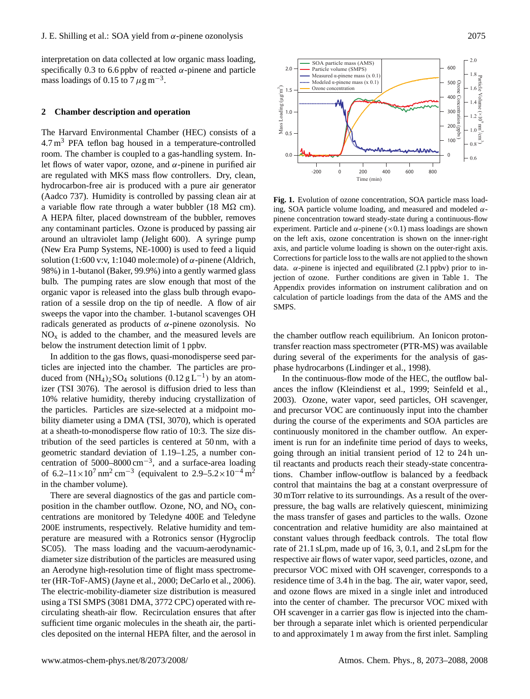interpretation on data collected at low organic mass loading, specifically 0.3 to 6.6 ppby of reacted  $\alpha$ -pinene and particle mass loadings of 0.15 to 7  $\mu$ g m<sup>-3</sup>.

#### **2 Chamber description and operation**

The Harvard Environmental Chamber (HEC) consists of a  $4.7 \text{ m}^3$  PFA teflon bag housed in a temperature-controlled room. The chamber is coupled to a gas-handling system. Inlet flows of water vapor, ozone, and  $\alpha$ -pinene in purified air are regulated with MKS mass flow controllers. Dry, clean, hydrocarbon-free air is produced with a pure air generator (Aadco 737). Humidity is controlled by passing clean air at a variable flow rate through a water bubbler (18 M $\Omega$  cm). A HEPA filter, placed downstream of the bubbler, removes any contaminant particles. Ozone is produced by passing air around an ultraviolet lamp (Jelight 600). A syringe pump (New Era Pump Systems, NE-1000) is used to feed a liquid solution (1:600 v:v, 1:1040 mole:mole) of  $\alpha$ -pinene (Aldrich, 98%) in 1-butanol (Baker, 99.9%) into a gently warmed glass bulb. The pumping rates are slow enough that most of the organic vapor is released into the glass bulb through evaporation of a sessile drop on the tip of needle. A flow of air sweeps the vapor into the chamber. 1-butanol scavenges OH radicals generated as products of  $\alpha$ -pinene ozonolysis. No  $NO<sub>x</sub>$  is added to the chamber, and the measured levels are below the instrument detection limit of 1 ppbv. 2 **Chamber description and operation**<br>The Harvard Environmental Chamber (HEC) consists of a<br> $4.7$ m<sup>3</sup> PFA teflorn bag housed in a temperature-controlled<br>noro. The chamber is coupled to a gas-hundling system. In-<br>not alle

In addition to the gas flows, quasi-monodisperse seed particles are injected into the chamber. The particles are produced from  $(NH_4)_2SO_4$  solutions  $(0.12 g L^{-1})$  by an atomizer (TSI 3076). The aerosol is diffusion dried to less than 10% relative humidity, thereby inducing crystallization of the particles. Particles are size-selected at a midpoint mobility diameter using a DMA (TSI, 3070), which is operated at a sheath-to-monodisperse flow ratio of 10:3. The size distribution of the seed particles is centered at 50 nm, with a geometric standard deviation of 1.19–1.25, a number concentration of  $5000-8000$  cm<sup>-3</sup>, and a surface-area loading of 6.2–11×10<sup>7</sup> nm<sup>2</sup> cm<sup>-3</sup> (equivalent to 2.9–5.2×10<sup>-4</sup> m<sup>2</sup> in the chamber volume).

There are several diagnostics of the gas and particle composition in the chamber outflow. Ozone, NO, and  $NO<sub>x</sub>$  concentrations are monitored by Teledyne 400E and Teledyne 200E instruments, respectively. Relative humidity and temperature are measured with a Rotronics sensor (Hygroclip SC05). The mass loading and the vacuum-aerodynamicdiameter size distribution of the particles are measured using an Aerodyne high-resolution time of flight mass spectrometer (HR-ToF-AMS) (Jayne et al., 2000; DeCarlo et al., 2006). The electric-mobility-diameter size distribution is measured using a TSI SMPS (3081 DMA, 3772 CPC) operated with recirculating sheath-air flow. Recirculation ensures that after sufficient time organic molecules in the sheath air, the parti-



data.  $\alpha$ -pinene is injected and equilibrated (2.1 ppbv) prior to in-**Fig. 1.** Evolution of ozone concentration, SOA particle mass loading, SOA particle volume loading, and measured and modeled  $\alpha$ pinene concentration toward steady-state during a continuous-flow experiment. Particle and  $\alpha$ -pinene ( $\times$ 0.1) mass loadings are shown on the left axis, ozone concentration is shown on the inner-right axis, and particle volume loading is shown on the outer-right axis. Corrections for particle loss to the walls are not applied to the shown jection of ozone. Further conditions are given in Table 1. The Appendix provides information on instrument calibration and on calculation of particle loadings from the data of the AMS and the SMPS.

the chamber outflow reach equilibrium. An Ionicon protontransfer reaction mass spectrometer (PTR-MS) was available during several of the experiments for the analysis of gasphase hydrocarbons (Lindinger et al., 1998).

In the continuous-flow mode of the HEC, the outflow balances the inflow (Kleindienst et al., 1999; Seinfeld et al., 2003). Ozone, water vapor, seed particles, OH scavenger, and precursor VOC are continuously input into the chamber during the course of the experiments and SOA particles are continuously monitored in the chamber outflow. An experiment is run for an indefinite time period of days to weeks, going through an initial transient period of 12 to 24 h until reactants and products reach their steady-state concentrations. Chamber inflow-outflow is balanced by a feedback control that maintains the bag at a constant overpressure of 30 mTorr relative to its surroundings. As a result of the overpressure, the bag walls are relatively quiescent, minimizing the mass transfer of gases and particles to the walls. Ozone concentration and relative humidity are also maintained at constant values through feedback controls. The total flow rate of 21.1 sLpm, made up of 16, 3, 0.1, and 2 sLpm for the respective air flows of water vapor, seed particles, ozone, and precursor VOC mixed with OH scavenger, corresponds to a residence time of 3.4 h in the bag. The air, water vapor, seed, and ozone flows are mixed in a single inlet and introduced into the center of chamber. The precursor VOC mixed with OH scavenger in a carrier gas flow is injected into the chamber through a separate inlet which is oriented perpendicular to and approximately 1 m away from the first inlet. Sampling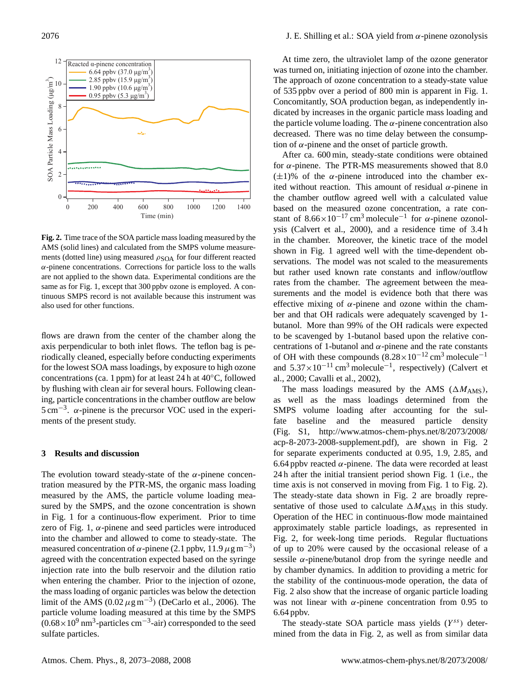

**Fig. 2.** Time trace of the SOA particle mass loading measured by the AMS (solid lines) and calculated from the SMPS volume measurements (dotted line) using measured  $\rho_{\text{SOA}}$  for four different reacted  $\alpha$ -pinene concentrations. Corrections for particle loss to the walls are not applied to the shown data. Experimental conditions are the same as for Fig. 1, except that 300 ppbv ozone is employed. A continuous SMPS record is not available because this instrument was also used for other functions.

flows are drawn from the center of the chamber along the axis perpendicular to both inlet flows. The teflon bag is periodically cleaned, especially before conducting experiments for the lowest SOA mass loadings, by exposure to high ozone concentrations (ca. 1 ppm) for at least 24 h at 40◦C, followed by flushing with clean air for several hours. Following cleaning, particle concentrations in the chamber outflow are below  $5 \text{ cm}^{-3}$ .  $\alpha$ -pinene is the precursor VOC used in the experiments of the present study.

## **3 Results and discussion**

The evolution toward steady-state of the  $\alpha$ -pinene concentration measured by the PTR-MS, the organic mass loading measured by the AMS, the particle volume loading measured by the SMPS, and the ozone concentration is shown in Fig. 1 for a continuous-flow experiment. Prior to time zero of Fig. 1,  $\alpha$ -pinene and seed particles were introduced into the chamber and allowed to come to steady-state. The measured concentration of  $\alpha$ -pinene (2.1 ppbv, 11.9  $\mu$ g m<sup>-3</sup>) agreed with the concentration expected based on the syringe injection rate into the bulb reservoir and the dilution ratio when entering the chamber. Prior to the injection of ozone, the mass loading of organic particles was below the detection limit of the AMS  $(0.02 \mu g m^{-3})$  (DeCarlo et al., 2006). The particle volume loading measured at this time by the SMPS  $(0.68 \times 10^9 \text{ nm}^3\text{-particles cm}^{-3}\text{-air})$  corresponded to the seed sulfate particles.

At time zero, the ultraviolet lamp of the ozone generator was turned on, initiating injection of ozone into the chamber. The approach of ozone concentration to a steady-state value of 535 ppbv over a period of 800 min is apparent in Fig. 1. Concomitantly, SOA production began, as independently indicated by increases in the organic particle mass loading and the particle volume loading. The  $\alpha$ -pinene concentration also decreased. There was no time delay between the consumption of  $\alpha$ -pinene and the onset of particle growth.

After ca. 600 min, steady-state conditions were obtained for  $\alpha$ -pinene. The PTR-MS measurements showed that 8.0  $(\pm 1)$ % of the  $\alpha$ -pinene introduced into the chamber exited without reaction. This amount of residual  $\alpha$ -pinene in the chamber outflow agreed well with a calculated value based on the measured ozone concentration, a rate constant of  $8.66 \times 10^{-17}$  cm<sup>3</sup> molecule<sup>-1</sup> for  $\alpha$ -pinene ozonolysis (Calvert et al., 2000), and a residence time of 3.4 h in the chamber. Moreover, the kinetic trace of the model shown in Fig. 1 agreed well with the time-dependent observations. The model was not scaled to the measurements but rather used known rate constants and inflow/outflow rates from the chamber. The agreement between the measurements and the model is evidence both that there was effective mixing of  $\alpha$ -pinene and ozone within the chamber and that OH radicals were adequately scavenged by 1 butanol. More than 99% of the OH radicals were expected to be scavenged by 1-butanol based upon the relative concentrations of 1-butanol and  $\alpha$ -pinene and the rate constants of OH with these compounds  $(8.28\times10^{-12} \text{ cm}^3 \text{ molecule}^{-1}$ and  $5.37 \times 10^{-11}$  cm<sup>3</sup> molecule<sup>-1</sup>, respectively) (Calvert et al., 2000; Cavalli et al., 2002),

The mass loadings measured by the AMS ( $\Delta M_{\text{AMS}}$ ), as well as the mass loadings determined from the SMPS volume loading after accounting for the sulfate baseline and the measured particle density (Fig. S1, [http://www.atmos-chem-phys.net/8/2073/2008/](http://www.atmos-chem-phys.net/8/2073/2008/acp-8-2073-2008-supplement.pdf) [acp-8-2073-2008-supplement.pdf\)](http://www.atmos-chem-phys.net/8/2073/2008/acp-8-2073-2008-supplement.pdf), are shown in Fig. 2 for separate experiments conducted at 0.95, 1.9, 2.85, and 6.64 ppbv reacted  $\alpha$ -pinene. The data were recorded at least 24 h after the initial transient period shown Fig. 1 (i.e., the time axis is not conserved in moving from Fig. 1 to Fig. 2). The steady-state data shown in Fig. 2 are broadly representative of those used to calculate  $\Delta M_{\text{AMS}}$  in this study. Operation of the HEC in continuous-flow mode maintained approximately stable particle loadings, as represented in Fig. 2, for week-long time periods. Regular fluctuations of up to 20% were caused by the occasional release of a sessile  $\alpha$ -pinene/butanol drop from the syringe needle and by chamber dynamics. In addition to providing a metric for the stability of the continuous-mode operation, the data of Fig. 2 also show that the increase of organic particle loading was not linear with  $\alpha$ -pinene concentration from 0.95 to 6.64 ppbv.

The steady-state SOA particle mass yields  $(Y^{ss})$  determined from the data in Fig. 2, as well as from similar data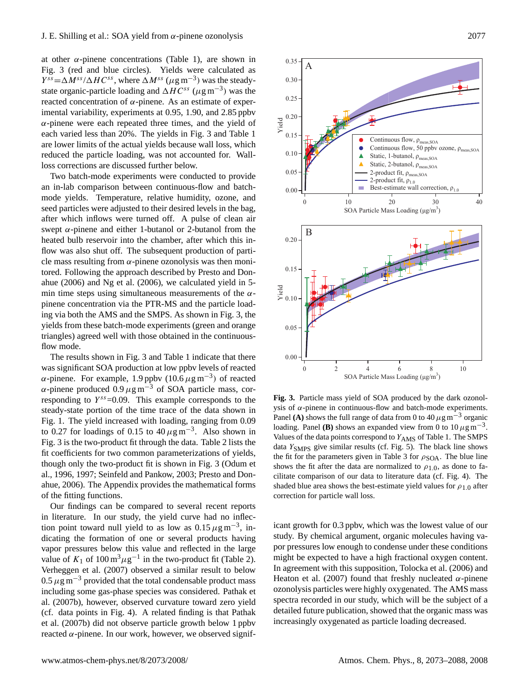at other  $\alpha$ -pinene concentrations (Table 1), are shown in Fig. 3 (red and blue circles). Yields were calculated as  $Y^{ss} = \Delta M^{ss}/\Delta H C^{ss}$ , where  $\Delta M^{ss}$  ( $\mu$ g m<sup>-3</sup>) was the steadystate organic-particle loading and  $\Delta HC^{ss}$  ( $\mu$ g m<sup>-3</sup>) was the reacted concentration of α-pinene. As an estimate of experimental variability, experiments at 0.95, 1.90, and 2.85 ppbv  $\alpha$ -pinene were each repeated three times, and the yield of each varied less than 20%. The yields in Fig. 3 and Table 1 are lower limits of the actual yields because wall loss, which reduced the particle loading, was not accounted for. Wallloss corrections are discussed further below.

Two batch-mode experiments were conducted to provide an in-lab comparison between continuous-flow and batchmode yields. Temperature, relative humidity, ozone, and seed particles were adjusted to their desired levels in the bag, after which inflows were turned off. A pulse of clean air swept  $\alpha$ -pinene and either 1-butanol or 2-butanol from the heated bulb reservoir into the chamber, after which this inflow was also shut off. The subsequent production of particle mass resulting from  $\alpha$ -pinene ozonolysis was then monitored. Following the approach described by Presto and Donahue (2006) and Ng et al. (2006), we calculated yield in 5 min time steps using simultaneous measurements of the  $\alpha$ pinene concentration via the PTR-MS and the particle loading via both the AMS and the SMPS. As shown in Fig. 3, the yields from these batch-mode experiments (green and orange triangles) agreed well with those obtained in the continuousflow mode.

The results shown in Fig. 3 and Table 1 indicate that there was significant SOA production at low ppbv levels of reacted α-pinene. For example, 1.9 ppbv  $(10.6 \mu g m^{-3})$  of reacted α-pinene produced  $0.9 \mu$ g m<sup>-3</sup> of SOA particle mass, corresponding to  $Y^{ss} = 0.09$ . This example corresponds to the steady-state portion of the time trace of the data shown in Fig. 1. The yield increased with loading, ranging from 0.09 to 0.27 for loadings of 0.15 to  $40 \mu g m^{-3}$ . Also shown in Fig. 3 is the two-product fit through the data. Table 2 lists the fit coefficients for two common parameterizations of yields, though only the two-product fit is shown in Fig. 3 (Odum et al., 1996, 1997; Seinfeld and Pankow, 2003; Presto and Donahue, 2006). The Appendix provides the mathematical forms of the fitting functions.

Our findings can be compared to several recent reports in literature. In our study, the yield curve had no inflection point toward null yield to as low as  $0.15 \mu g m^{-3}$ , indicating the formation of one or several products having vapor pressures below this value and reflected in the large value of  $K_1$  of 100 m<sup>3</sup> $\mu$ g<sup>-1</sup> in the two-product fit (Table 2). Verheggen et al. (2007) observed a similar result to below  $0.5 \,\mu$ g m<sup>-3</sup> provided that the total condensable product mass including some gas-phase species was considered. Pathak et al. (2007b), however, observed curvature toward zero yield (cf. data points in Fig. 4). A related finding is that Pathak et al. (2007b) did not observe particle growth below 1 ppbv reacted  $\alpha$ -pinene. In our work, however, we observed signif-



**Fig. 3.** Particle mass yield of SOA produced by the dark ozonolysis of α-pinene in continuous-flow and batch-mode experiments. Panel **(A)** shows the full range of data from 0 to 40  $\mu$ g m<sup>-3</sup> organic loading. Panel **(B)** shows an expanded view from 0 to  $10 \mu g m^{-3}$ . Values of the data points correspond to  $Y_{\text{AMS}}$  of Table 1. The SMPS data  $Y_{\text{SMPS}}$  give similar results (cf. Fig. 5). The black line shows the fit for the parameters given in Table 3 for  $\rho_{\text{SOA}}$ . The blue line shows the fit after the data are normalized to  $\rho_{1,0}$ , as done to facilitate comparison of our data to literature data (cf. Fig. 4). The shaded blue area shows the best-estimate yield values for  $\rho_{1,0}$  after correction for particle wall loss.

icant growth for 0.3 ppbv, which was the lowest value of our study. By chemical argument, organic molecules having vapor pressures low enough to condense under these conditions might be expected to have a high fractional oxygen content. In agreement with this supposition, Tolocka et al. (2006) and Heaton et al. (2007) found that freshly nucleated  $\alpha$ -pinene ozonolysis particles were highly oxygenated. The AMS mass spectra recorded in our study, which will be the subject of a detailed future publication, showed that the organic mass was increasingly oxygenated as particle loading decreased.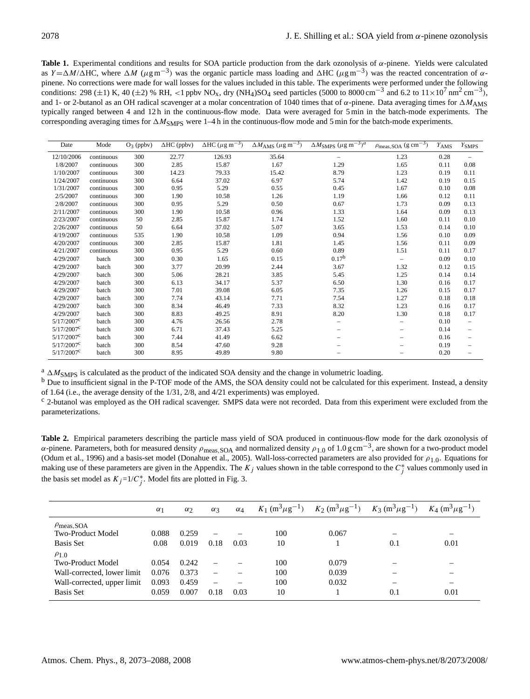**Table 1.** Experimental conditions and results for SOA particle production from the dark ozonolysis of α-pinene. Yields were calculated as Y =  $\Delta M/\Delta$ HC, where  $\Delta M$  ( $\mu$ g m<sup>-3</sup>) was the organic particle mass loading and  $\Delta$ HC ( $\mu$ g m<sup>-3</sup>) was the reacted concentration of  $\alpha$ pinene. No corrections were made for wall losses for the values included in this table. The experiments were performed under the following conditions: 298 ( $\pm$ 1) K, 40 ( $\pm$ 2) % RH, <1 ppbv NO<sub>x</sub>, dry (NH<sub>4</sub>)SO<sub>4</sub> seed particles (5000 to 8000 cm<sup>-3</sup> and 6.2 to 11×10<sup>7</sup> nm<sup>2</sup> cm<sup>-3</sup>), and 1- or 2-butanol as an OH radical scavenger at a molar concentration of 1040 times that of  $\alpha$ -pinene. Data averaging times for  $\Delta M_{\rm AMS}$ typically ranged between 4 and 12 h in the continuous-flow mode. Data were averaged for 5 min in the batch-mode experiments. The corresponding averaging times for  $\Delta M_{\text{SMPS}}$  were 1–4 h in the continuous-flow mode and 5 min for the batch-mode experiments.

| Date                     | Mode       | $O_3$ (ppbv) | $\Delta$ HC (ppbv) | $\Delta$ HC ( $\mu$ g m <sup>-3</sup> ) | $\Delta M_{\rm AMS}$ ( $\mu$ g m <sup>-3</sup> ) | $\Delta M_{\rm SMPS}$ $(\mu$ g m <sup>-3</sup> ) <sup>a</sup> | $\rho_{\text{meas,SOA}}$ (g cm <sup>-3</sup> ) | $Y_{\rm AMS}$ | $Y_{\text{SMPS}}$ |
|--------------------------|------------|--------------|--------------------|-----------------------------------------|--------------------------------------------------|---------------------------------------------------------------|------------------------------------------------|---------------|-------------------|
| 12/10/2006               | continuous | 300          | 22.77              | 126.93                                  | 35.64                                            | $\qquad \qquad -$                                             | 1.23                                           | 0.28          |                   |
| 1/8/2007                 | continuous | 300          | 2.85               | 15.87                                   | 1.67                                             | 1.29                                                          | 1.65                                           | 0.11          | 0.08              |
| 1/10/2007                | continuous | 300          | 14.23              | 79.33                                   | 15.42                                            | 8.79                                                          | 1.23                                           | 0.19          | 0.11              |
| 1/24/2007                | continuous | 300          | 6.64               | 37.02                                   | 6.97                                             | 5.74                                                          | 1.42                                           | 0.19          | 0.15              |
| 1/31/2007                | continuous | 300          | 0.95               | 5.29                                    | 0.55                                             | 0.45                                                          | 1.67                                           | 0.10          | 0.08              |
| 2/5/2007                 | continuous | 300          | 1.90               | 10.58                                   | 1.26                                             | 1.19                                                          | 1.66                                           | 0.12          | 0.11              |
| 2/8/2007                 | continuous | 300          | 0.95               | 5.29                                    | 0.50                                             | 0.67                                                          | 1.73                                           | 0.09          | 0.13              |
| 2/11/2007                | continuous | 300          | 1.90               | 10.58                                   | 0.96                                             | 1.33                                                          | 1.64                                           | 0.09          | 0.13              |
| 2/23/2007                | continuous | 50           | 2.85               | 15.87                                   | 1.74                                             | 1.52                                                          | 1.60                                           | 0.11          | 0.10              |
| 2/26/2007                | continuous | 50           | 6.64               | 37.02                                   | 5.07                                             | 3.65                                                          | 1.53                                           | 0.14          | 0.10              |
| 4/19/2007                | continuous | 535          | 1.90               | 10.58                                   | 1.09                                             | 0.94                                                          | 1.56                                           | 0.10          | 0.09              |
| 4/20/2007                | continuous | 300          | 2.85               | 15.87                                   | 1.81                                             | 1.45                                                          | 1.56                                           | 0.11          | 0.09              |
| 4/21/2007                | continuous | 300          | 0.95               | 5.29                                    | 0.60                                             | 0.89                                                          | 1.51                                           | 0.11          | 0.17              |
| 4/29/2007                | batch      | 300          | 0.30               | 1.65                                    | 0.15                                             | 0.17 <sup>b</sup>                                             | $\overline{\phantom{0}}$                       | 0.09          | 0.10              |
| 4/29/2007                | batch      | 300          | 3.77               | 20.99                                   | 2.44                                             | 3.67                                                          | 1.32                                           | 0.12          | 0.15              |
| 4/29/2007                | batch      | 300          | 5.06               | 28.21                                   | 3.85                                             | 5.45                                                          | 1.25                                           | 0.14          | 0.14              |
| 4/29/2007                | batch      | 300          | 6.13               | 34.17                                   | 5.37                                             | 6.50                                                          | 1.30                                           | 0.16          | 0.17              |
| 4/29/2007                | batch      | 300          | 7.01               | 39.08                                   | 6.05                                             | 7.35                                                          | 1.26                                           | 0.15          | 0.17              |
| 4/29/2007                | batch      | 300          | 7.74               | 43.14                                   | 7.71                                             | 7.54                                                          | 1.27                                           | 0.18          | 0.18              |
| 4/29/2007                | batch      | 300          | 8.34               | 46.49                                   | 7.33                                             | 8.32                                                          | 1.23                                           | 0.16          | 0.17              |
| 4/29/2007                | batch      | 300          | 8.83               | 49.25                                   | 8.91                                             | 8.20                                                          | 1.30                                           | 0.18          | 0.17              |
| $5/17/2007$ <sup>c</sup> | batch      | 300          | 4.76               | 26.56                                   | 2.78                                             | $\qquad \qquad -$                                             |                                                | 0.10          | -                 |
| $5/17/2007$ <sup>c</sup> | batch      | 300          | 6.71               | 37.43                                   | 5.25                                             |                                                               |                                                | 0.14          |                   |
| $5/17/2007$ <sup>c</sup> | batch      | 300          | 7.44               | 41.49                                   | 6.62                                             |                                                               |                                                | 0.16          |                   |
| $5/17/2007$ <sup>c</sup> | batch      | 300          | 8.54               | 47.60                                   | 9.28                                             |                                                               |                                                | 0.19          |                   |
| 5/17/2007c               | batch      | 300          | 8.95               | 49.89                                   | 9.80                                             |                                                               |                                                | 0.20          |                   |

 $a \Delta M<sub>SMPS</sub>$  is calculated as the product of the indicated SOA density and the change in volumetric loading.

 $<sup>b</sup>$  Due to insufficient signal in the P-TOF mode of the AMS, the SOA density could not be calculated for this experiment. Instead, a density</sup> of 1.64 (i.e., the average density of the 1/31, 2/8, and 4/21 experiments) was employed.

<sup>c</sup> 2-butanol was employed as the OH radical scavenger. SMPS data were not recorded. Data from this experiment were excluded from the parameterizations.

**Table 2.** Empirical parameters describing the particle mass yield of SOA produced in continuous-flow mode for the dark ozonolysis of α-pinene. Parameters, both for measured density  $\rho_{\text{meas,SOA}}$  and normalized density  $\rho_{1.0}$  of 1.0 g cm<sup>-3</sup>, are shown for a two-product model (Odum et al., 1996) and a basis-set model (Donahue et al., 2005). Wall-loss-corrected parameters are also provided for  $\rho_{1,0}$ . Equations for making use of these parameters are given in the Appendix. The  $K_j$  values shown in the table correspond to the  $C_j^*$  values commonly used in the basis set model as  $K_j = 1/C_j^*$ . Model fits are plotted in Fig. 3.

|                             | $\alpha_1$ | $\alpha_2$ | $\alpha_3$ | $\alpha_4$ |     | $K_1 \text{ (m}^3 \mu \text{g}^{-1})$ $K_2 \text{ (m}^3 \mu \text{g}^{-1})$ $K_3 \text{ (m}^3 \mu \text{g}^{-1})$ $K_4 \text{ (m}^3 \mu \text{g}^{-1})$ |     |      |
|-----------------------------|------------|------------|------------|------------|-----|---------------------------------------------------------------------------------------------------------------------------------------------------------|-----|------|
| $\rho_{\text{meas,SOA}}$    |            |            |            |            |     |                                                                                                                                                         |     |      |
| <b>Two-Product Model</b>    | 0.088      | 0.259      |            |            | 100 | 0.067                                                                                                                                                   |     |      |
| <b>Basis Set</b>            | 0.08       | 0.019      | 0.18       | 0.03       | 10  |                                                                                                                                                         | 0.1 | 0.01 |
| $\rho_{1,0}$                |            |            |            |            |     |                                                                                                                                                         |     |      |
| <b>Two-Product Model</b>    | 0.054      | 0.242      |            |            | 100 | 0.079                                                                                                                                                   |     |      |
| Wall-corrected, lower limit | 0.076      | 0.373      |            |            | 100 | 0.039                                                                                                                                                   |     |      |
| Wall-corrected, upper limit | 0.093      | 0.459      |            |            | 100 | 0.032                                                                                                                                                   |     |      |
| <b>Basis Set</b>            | 0.059      | 0.007      | 0.18       | 0.03       | 10  |                                                                                                                                                         | 0.1 | 0.01 |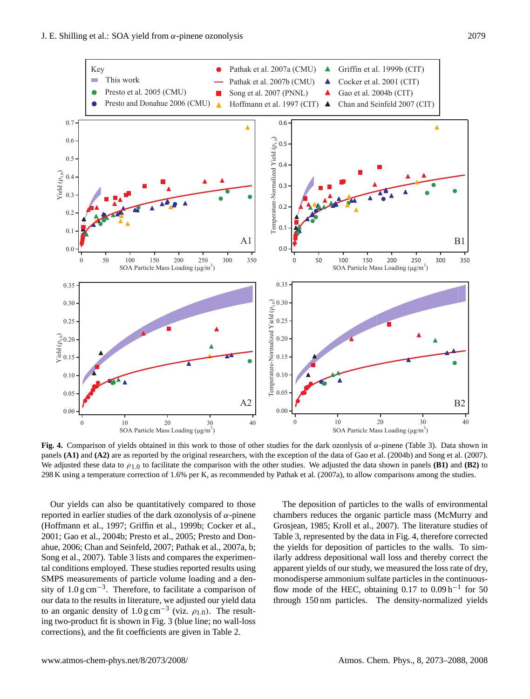

**Fig. 4.** Comparison of yields obtained in this work to those of other studies for the dark ozonlysis of α-pinene (Table 3). Data shown in panels **(A1)** and **(A2)** are as reported by the original researchers, with the exception of the data of Gao et al. (2004b) and Song et al. (2007). We adjusted these data to  $\rho_{1,0}$  to facilitate the comparison with the other studies. We adjusted the data shown in panels **(B1)** and **(B2)** to 298 K using a temperature correction of 1.6% per K, as recommended by Pathak et al. (2007a), to allow comparisons among the studies.

Our yields can also be quantitatively compared to those reported in earlier studies of the dark ozonolysis of α-pinene (Hoffmann et al., 1997; Griffin et al., 1999b; Cocker et al., 2001; Gao et al., 2004b; Presto et al., 2005; Presto and Donahue, 2006; Chan and Seinfeld, 2007; Pathak et al., 2007a, b; Song et al., 2007). Table 3 lists and compares the experimental conditions employed. These studies reported results using SMPS measurements of particle volume loading and a density of 1.0 g cm<sup>-3</sup>. Therefore, to facilitate a comparison of our data to the results in literature, we adjusted our yield data to an organic density of 1.0 g cm<sup>-3</sup> (viz.  $\rho_{1,0}$ ). The resulting two-product fit is shown in Fig. 3 (blue line; no wall-loss corrections), and the fit coefficients are given in Table 2.

The deposition of particles to the walls of environmental chambers reduces the organic particle mass (McMurry and Grosjean, 1985; Kroll et al., 2007). The literature studies of Table 3, represented by the data in Fig. 4, therefore corrected the yields for deposition of particles to the walls. To similarly address depositional wall loss and thereby correct the apparent yields of our study, we measured the loss rate of dry, monodisperse ammonium sulfate particles in the continuousflow mode of the HEC, obtaining  $0.17$  to  $0.09$  h<sup>-1</sup> for 50 through 150 nm particles. The density-normalized yields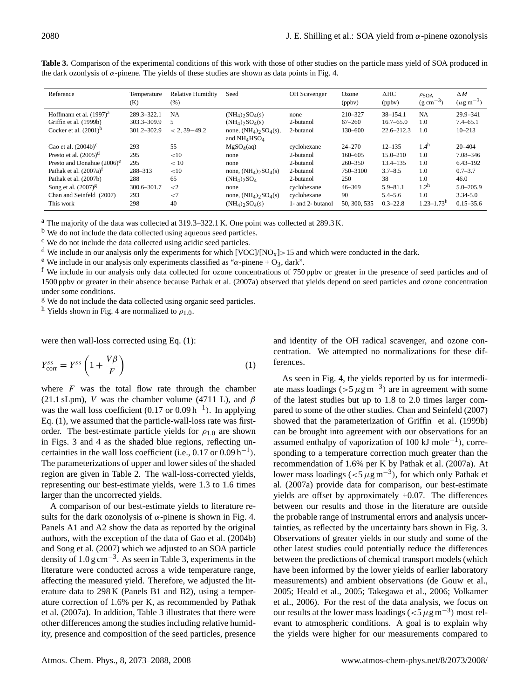| Reference                                                         | Temperature<br>(K)         | <b>Relative Humidity</b><br>(% ) | Seed                                                                                   | <b>OH</b> Scavenger                             | Ozone<br>(ppbv)                  | $\triangle$ HC<br>(ppbv)                    | $\rho$ SOA<br>$(g \text{ cm}^{-3})$                   | $\triangle M$<br>$(\mu g \, m^{-3})$           |
|-------------------------------------------------------------------|----------------------------|----------------------------------|----------------------------------------------------------------------------------------|-------------------------------------------------|----------------------------------|---------------------------------------------|-------------------------------------------------------|------------------------------------------------|
| Hoffmann et al. $(1997)^{a}$<br>Griffin et al. (1999b)            | 289.3-322.1<br>303.3-309.9 | <b>NA</b>                        | $(NH_4)$ <sub>2</sub> SO <sub>4</sub> (s)<br>$(NH_4)$ <sub>2</sub> SO <sub>4</sub> (s) | none<br>2-butanol                               | 210-327<br>$67 - 260$            | $38 - 154.1$<br>$16.7 - 65.0$               | <b>NA</b><br>1.0                                      | $29.9 - 341$<br>$7.4 - 65.1$                   |
| Cocker et al. $(2001)^b$                                          | 301.2-302.9                | $< 2.39 - 49.2$                  | none, $(NH_4)$ <sub>2</sub> SO <sub>4</sub> (s),<br>and $NH_4HSO_4$                    | 2-butanol                                       | 130-600                          | $22.6 - 212.3$                              | 1.0                                                   | $10 - 213$                                     |
| Gao et al. $(2004b)^c$                                            | 293                        | 55                               | MgSO <sub>4</sub> (aq)                                                                 | cyclohexane                                     | $24 - 270$                       | $12 - 135$                                  | 1.4 <sup>h</sup>                                      | $20 - 404$                                     |
| Presto et al. $(2005)^d$                                          | 295                        | <10                              | none                                                                                   | 2-butanol                                       | $160 - 605$                      | $15.0 - 210$                                | 1.0                                                   | 7.08-346                                       |
| Presto and Donahue $(2006)^e$                                     | 295                        | < 10                             | none                                                                                   | 2-butanol                                       | $260 - 350$                      | $13.4 - 135$                                | 1.0                                                   | $6.43 - 192$                                   |
| Pathak et al. $(2007a)^t$                                         | 288-313                    | <10                              | none, $(NH_4)$ <sub>2</sub> SO <sub>4</sub> (s)                                        | 2-butanol                                       | 750-3100                         | $3.7 - 8.5$                                 | 1.0                                                   | $0.7 - 3.7$                                    |
| Pathak et al. (2007b)                                             | 288                        | 65                               | $(NH_4)$ <sub>2</sub> SO <sub>4</sub>                                                  | 2-butanol                                       | 250                              | 38                                          | 1.0                                                   | 46.0                                           |
| Song et al. $(2007)^{g}$<br>Chan and Seinfeld (2007)<br>This work | 300.6-301.7<br>293<br>298  | $\leq$ 2<br>${<}7$<br>40         | none<br>none, $(NH_4)_2SO_4(s)$<br>$(NH_4)$ <sub>2</sub> SO <sub>4</sub> (s)           | cyclohexane<br>cyclohexane<br>1- and 2- butanol | $46 - 369$<br>90<br>50, 300, 535 | $5.9 - 81.1$<br>$5.4 - 5.6$<br>$0.3 - 22.8$ | 1.2 <sup>h</sup><br>1.0<br>$1.23 - 1.73$ <sup>h</sup> | $5.0 - 205.9$<br>$3.34 - 5.0$<br>$0.15 - 35.6$ |

**Table 3.** Comparison of the experimental conditions of this work with those of other studies on the particle mass yield of SOA produced in the dark ozonlysis of  $\alpha$ -pinene. The yields of these studies are shown as data points in Fig. 4.

<sup>a</sup> The majority of the data was collected at 319.3–322.1 K. One point was collected at 289.3 K.

<sup>b</sup> We do not include the data collected using aqueous seed particles.

<sup>c</sup> We do not include the data collected using acidic seed particles.

<sup>d</sup> We include in our analysis only the experiments for which [VOC]/[NO<sub>x</sub>] > 15 and which were conducted in the dark.

<sup>e</sup> We include in our analysis only experiments classified as "α-pinene + O<sub>3</sub>, dark".

<sup>f</sup> We include in our analysis only data collected for ozone concentrations of 750 ppbv or greater in the presence of seed particles and of 1500 ppbv or greater in their absence because Pathak et al. (2007a) observed that yields depend on seed particles and ozone concentration under some conditions.

<sup>g</sup> We do not include the data collected using organic seed particles.

<sup>h</sup> Yields shown in Fig. 4 are normalized to  $\rho_{1,0}$ .

were then wall-loss corrected using Eq. (1):

$$
Y_{\text{corr}}^{ss} = Y^{ss} \left( 1 + \frac{V\beta}{F} \right) \tag{1}
$$

where  $F$  was the total flow rate through the chamber (21.1 sLpm), V was the chamber volume (4711 L), and  $\beta$ was the wall loss coefficient  $(0.17 \text{ or } 0.09 \text{ h}^{-1})$ . In applying Eq. (1), we assumed that the particle-wall-loss rate was firstorder. The best-estimate particle yields for  $\rho_{1,0}$  are shown in Figs. 3 and 4 as the shaded blue regions, reflecting uncertainties in the wall loss coefficient (i.e.,  $0.17$  or  $0.09 h^{-1}$ ). The parameterizations of upper and lower sides of the shaded region are given in Table 2. The wall-loss-corrected yields, representing our best-estimate yields, were 1.3 to 1.6 times larger than the uncorrected yields.

A comparison of our best-estimate yields to literature results for the dark ozonolysis of  $\alpha$ -pinene is shown in Fig. 4. Panels A1 and A2 show the data as reported by the original authors, with the exception of the data of Gao et al. (2004b) and Song et al. (2007) which we adjusted to an SOA particle density of  $1.0 \text{ g cm}^{-3}$ . As seen in Table 3, experiments in the literature were conducted across a wide temperature range, affecting the measured yield. Therefore, we adjusted the literature data to 298 K (Panels B1 and B2), using a temperature correction of 1.6% per K, as recommended by Pathak et al. (2007a). In addition, Table 3 illustrates that there were other differences among the studies including relative humidity, presence and composition of the seed particles, presence and identity of the OH radical scavenger, and ozone concentration. We attempted no normalizations for these differences.

As seen in Fig. 4, the yields reported by us for intermediate mass loadings (>5  $\mu$ g m<sup>-3</sup>) are in agreement with some of the latest studies but up to 1.8 to 2.0 times larger compared to some of the other studies. Chan and Seinfeld (2007) showed that the parameterization of Griffin et al. (1999b) can be brought into agreement with our observations for an assumed enthalpy of vaporization of 100 kJ mole−<sup>1</sup> ), corresponding to a temperature correction much greater than the recommendation of 1.6% per K by Pathak et al. (2007a). At lower mass loadings (<5  $\mu$ g m<sup>-3</sup>), for which only Pathak et al. (2007a) provide data for comparison, our best-estimate yields are offset by approximately  $+0.07$ . The differences between our results and those in the literature are outside the probable range of instrumental errors and analysis uncertainties, as reflected by the uncertainty bars shown in Fig. 3. Observations of greater yields in our study and some of the other latest studies could potentially reduce the differences between the predictions of chemical transport models (which have been informed by the lower yields of earlier laboratory measurements) and ambient observations (de Gouw et al., 2005; Heald et al., 2005; Takegawa et al., 2006; Volkamer et al., 2006). For the rest of the data analysis, we focus on our results at the lower mass loadings ( $\lt 5 \mu$ g m<sup>-3</sup>) most relevant to atmospheric conditions. A goal is to explain why the yields were higher for our measurements compared to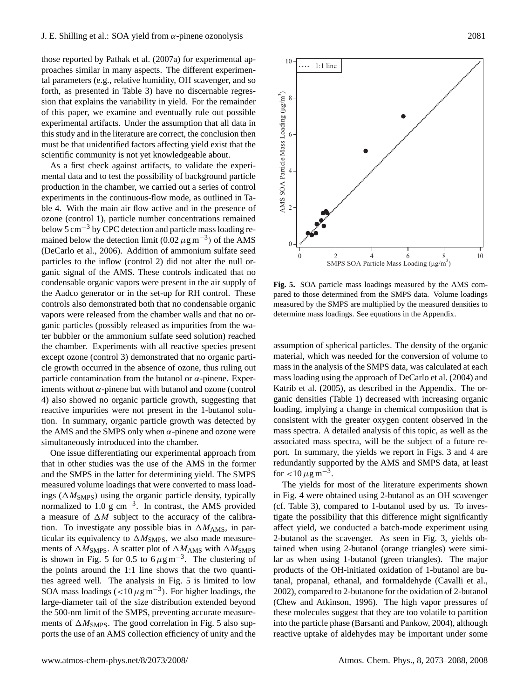those reported by Pathak et al. (2007a) for experimental approaches similar in many aspects. The different experimental parameters (e.g., relative humidity, OH scavenger, and so forth, as presented in Table 3) have no discernable regression that explains the variability in yield. For the remainder of this paper, we examine and eventually rule out possible experimental artifacts. Under the assumption that all data in this study and in the literature are correct, the conclusion then must be that unidentified factors affecting yield exist that the scientific community is not yet knowledgeable about.

As a first check against artifacts, to validate the experimental data and to test the possibility of background particle production in the chamber, we carried out a series of control experiments in the continuous-flow mode, as outlined in Table 4. With the main air flow active and in the presence of ozone (control 1), particle number concentrations remained below 5 cm−<sup>3</sup> by CPC detection and particle mass loading remained below the detection limit (0.02  $\mu$ g m<sup>-3</sup>) of the AMS (DeCarlo et al., 2006). Addition of ammonium sulfate seed particles to the inflow (control 2) did not alter the null organic signal of the AMS. These controls indicated that no condensable organic vapors were present in the air supply of the Aadco generator or in the set-up for RH control. These controls also demonstrated both that no condensable organic vapors were released from the chamber walls and that no organic particles (possibly released as impurities from the water bubbler or the ammonium sulfate seed solution) reached the chamber. Experiments with all reactive species present except ozone (control 3) demonstrated that no organic particle growth occurred in the absence of ozone, thus ruling out particle contamination from the butanol or  $\alpha$ -pinene. Experiments without  $\alpha$ -pinene but with butanol and ozone (control 4) also showed no organic particle growth, suggesting that reactive impurities were not present in the 1-butanol solution. In summary, organic particle growth was detected by the AMS and the SMPS only when  $\alpha$ -pinene and ozone were simultaneously introduced into the chamber. sion that explains the variability in yield. For the emaniner functions of of this paper, we examine and eventually rule out possible experimental artificies. Under the uses<br>umption that all data in this little such the

One issue differentiating our experimental approach from that in other studies was the use of the AMS in the former and the SMPS in the latter for determining yield. The SMPS measured volume loadings that were converted to mass loadings ( $\Delta M_{\text{SMPS}}$ ) using the organic particle density, typically normalized to 1.0 g cm<sup>-3</sup>. In contrast, the AMS provided a measure of  $\Delta M$  subject to the accuracy of the calibration. To investigate any possible bias in  $\Delta M_{\text{AMS}}$ , in particular its equivalency to  $\Delta M<sub>SMPS</sub>$ , we also made measurements of  $\Delta M_{\text{SMPS}}$ . A scatter plot of  $\Delta M_{\text{AMS}}$  with  $\Delta M_{\text{SMPS}}$ is shown in Fig. 5 for 0.5 to  $6 \mu g m^{-3}$ . The clustering of the points around the 1:1 line shows that the two quantities agreed well. The analysis in Fig. 5 is limited to low SOA mass loadings (<10  $\mu$ g m<sup>-3</sup>). For higher loadings, the large-diameter tail of the size distribution extended beyond the 500-nm limit of the SMPS, preventing accurate measurements of  $\Delta M_{\text{SMPS}}$ . The good correlation in Fig. 5 also sup-



The yields for most of the literature experiments shown in Fig. 4 were obtained using 2-butanol as an OH scavenger (cf. Table 3), compared to 1-butanol used by us. To investigate the possibility that this difference might significantly affect yield, we conducted a batch-mode experiment using 2-butanol as the scavenger. As seen in Fig. 3, yields obtained when using 2-butanol (orange triangles) were similar as when using 1-butanol (green triangles). The major products of the OH-initiated oxidation of 1-butanol are butanal, propanal, ethanal, and formaldehyde (Cavalli et al., 2002), compared to 2-butanone for the oxidation of 2-butanol (Chew and Atkinson, 1996). The high vapor pressures of these molecules suggest that they are too volatile to partition into the particle phase (Barsanti and Pankow, 2004), although reactive uptake of aldehydes may be important under some



**Fig. 5.** SOA particle mass loadings measured by the AMS compared to those determined from the SMPS data. Volume loadings measured by the SMPS are multiplied by the measured densities to determine mass loadings. See equations in the Appendix.

assumption of spherical particles. The density of the organic material, which was needed for the conversion of volume to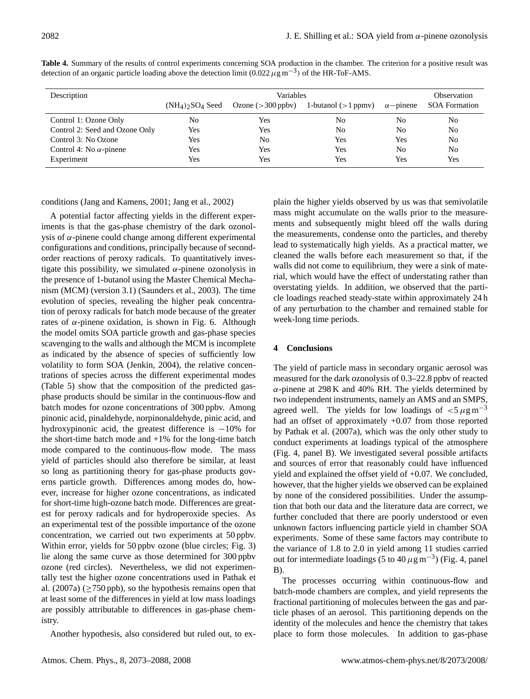| Description                    |                                            | Observation         |                       |                  |                      |
|--------------------------------|--------------------------------------------|---------------------|-----------------------|------------------|----------------------|
|                                | $(NH_4)$ <sub>2</sub> SO <sub>4</sub> Seed | Ozone $(>300$ ppby) | 1-butanol $(>1$ ppmv) | $\alpha$ -pinene | <b>SOA Formation</b> |
| Control 1: Ozone Only          | No                                         | <b>Yes</b>          | No                    | No               |                      |
| Control 2: Seed and Ozone Only | Yes                                        | Yes                 | N <sub>0</sub>        | N <sub>0</sub>   | No                   |
| Control 3: No Ozone            | Yes                                        | No                  | Yes                   | Yes              | No                   |
| Control 4: No $\alpha$ -pinene | Yes                                        | Yes                 | Yes                   | No               | No                   |
| Experiment                     | Yes                                        | Yes                 | Yes                   | Yes              | Yes                  |

**Table 4.** Summary of the results of control experiments concerning SOA production in the chamber. The criterion for a positive result was detection of an organic particle loading above the detection limit (0.022  $\mu$ g m<sup>-3</sup>) of the HR-ToF-AMS.

conditions (Jang and Kamens, 2001; Jang et al., 2002)

A potential factor affecting yields in the different experiments is that the gas-phase chemistry of the dark ozonolysis of  $α$ -pinene could change among different experimental configurations and conditions, principally because of secondorder reactions of peroxy radicals. To quantitatively investigate this possibility, we simulated  $\alpha$ -pinene ozonolysis in the presence of 1-butanol using the Master Chemical Mechanism (MCM) (version 3.1) (Saunders et al., 2003). The time evolution of species, revealing the higher peak concentration of peroxy radicals for batch mode because of the greater rates of  $\alpha$ -pinene oxidation, is shown in Fig. 6. Although the model omits SOA particle growth and gas-phase species scavenging to the walls and although the MCM is incomplete as indicated by the absence of species of sufficiently low volatility to form SOA (Jenkin, 2004), the relative concentrations of species across the different experimental modes (Table 5) show that the composition of the predicted gasphase products should be similar in the continuous-flow and batch modes for ozone concentrations of 300 ppbv. Among pinonic acid, pinaldehyde, norpinonaldehyde, pinic acid, and hydroxypinonic acid, the greatest difference is −10% for the short-time batch mode and  $+1\%$  for the long-time batch mode compared to the continuous-flow mode. The mass yield of particles should also therefore be similar, at least so long as partitioning theory for gas-phase products governs particle growth. Differences among modes do, however, increase for higher ozone concentrations, as indicated for short-time high-ozone batch mode. Differences are greatest for peroxy radicals and for hydroperoxide species. As an experimental test of the possible importance of the ozone concentration, we carried out two experiments at 50 ppbv. Within error, yields for 50 ppbv ozone (blue circles; Fig. 3) lie along the same curve as those determined for 300 ppbv ozone (red circles). Nevertheless, we did not experimentally test the higher ozone concentrations used in Pathak et al. (2007a) ( $\geq$ 750 ppb), so the hypothesis remains open that at least some of the differences in yield at low mass loadings are possibly attributable to differences in gas-phase chemistry.

Another hypothesis, also considered but ruled out, to ex-

plain the higher yields observed by us was that semivolatile mass might accumulate on the walls prior to the measurements and subsequently might bleed off the walls during the measurements, condense onto the particles, and thereby lead to systematically high yields. As a practical matter, we cleaned the walls before each measurement so that, if the walls did not come to equilibrium, they were a sink of material, which would have the effect of understating rather than overstating yields. In addition, we observed that the particle loadings reached steady-state within approximately 24 h of any perturbation to the chamber and remained stable for week-long time periods.

# **4 Conclusions**

The yield of particle mass in secondary organic aerosol was measured for the dark ozonolysis of 0.3–22.8 ppbv of reacted  $\alpha$ -pinene at 298 K and 40% RH. The yields determined by two independent instruments, namely an AMS and an SMPS, agreed well. The yields for low loadings of  $\lt 5 \mu g m^{-3}$ had an offset of approximately +0.07 from those reported by Pathak et al. (2007a), which was the only other study to conduct experiments at loadings typical of the atmosphere (Fig. 4, panel B). We investigated several possible artifacts and sources of error that reasonably could have influenced yield and explained the offset yield of +0.07. We concluded, however, that the higher yields we observed can be explained by none of the considered possibilities. Under the assumption that both our data and the literature data are correct, we further concluded that there are poorly understood or even unknown factors influencing particle yield in chamber SOA experiments. Some of these same factors may contribute to the variance of 1.8 to 2.0 in yield among 11 studies carried out for intermediate loadings (5 to 40  $\mu$ g m<sup>-3</sup>) (Fig. 4, panel B).

The processes occurring within continuous-flow and batch-mode chambers are complex, and yield represents the fractional partitioning of molecules between the gas and particle phases of an aerosol. This partitioning depends on the identity of the molecules and hence the chemistry that takes place to form those molecules. In addition to gas-phase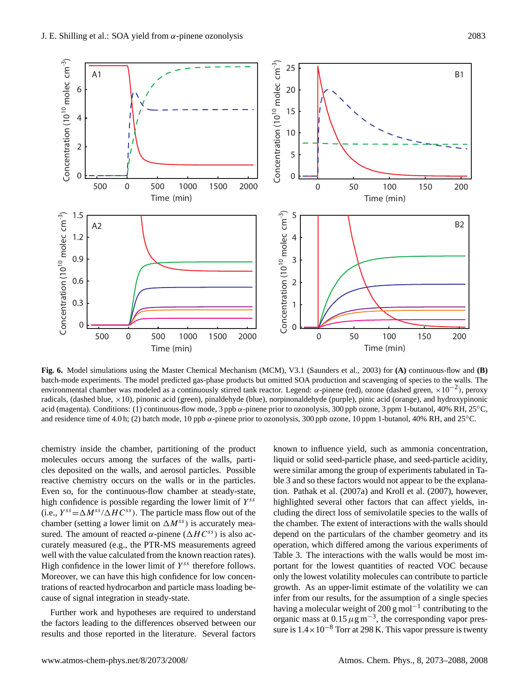

**Fig. 6.** Model simulations using the Master Chemical Mechanism (MCM), V3.1 (Saunders et al., 2003) for **(A)** continuous-flow and **(B)** batch-mode experiments. The model predicted gas-phase products but omitted SOA production and scavenging of species to the walls. The environmental chamber was modeled as a continuously stirred tank reactor. Legend: α-pinene (red), ozone (dashed green,  $\times 10^{-2}$ ), peroxy radicals, (dashed blue, ×10), pinonic acid (green), pinaldehyde (blue), norpinonaldehyde (purple), pinic acid (orange), and hydroxypinonic acid (magenta). Conditions: (1) continuous-flow mode, 3 ppb  $\alpha$ -pinene prior to ozonolysis, 300 ppb ozone, 3 ppm 1-butanol, 40% RH, 25 $^{\circ}$ C, and residence time of 4.0 h; (2) batch mode, 10 ppb  $\alpha$ -pinene prior to ozonolysis, 300 ppb ozone, 10 ppm 1-butanol, 40% RH, and 25°C.

chamber (setting a lower limit on  $\Delta M^{ss}$ ) is accurately meachemistry inside the chamber, partitioning of the product molecules occurs among the surfaces of the walls, particles deposited on the walls, and aerosol particles. Possible reactive chemistry occurs on the walls or in the particles. Even so, for the continuous-flow chamber at steady-state, high confidence is possible regarding the lower limit of  $Y^{ss}$ (i.e.,  $Y^{ss} = \Delta M^{ss}/\Delta H C^{ss}$ ). The particle mass flow out of the sured. The amount of reacted  $\alpha$ -pinene ( $\triangle HC^{ss}$ ) is also accurately measured (e.g., the PTR-MS measurements agreed well with the value calculated from the known reaction rates). High confidence in the lower limit of  $Y^{ss}$  therefore follows. Moreover, we can have this high confidence for low concentrations of reacted hydrocarbon and particle mass loading because of signal integration in steady-state.

Further work and hypotheses are required to understand the factors leading to the differences observed between our results and those reported in the literature. Several factors known to influence yield, such as ammonia concentration, liquid or solid seed-particle phase, and seed-particle acidity, were similar among the group of experiments tabulated in Table 3 and so these factors would not appear to be the explanation. Pathak et al. (2007a) and Kroll et al. (2007), however, highlighted several other factors that can affect yields, including the direct loss of semivolatile species to the walls of the chamber. The extent of interactions with the walls should depend on the particulars of the chamber geometry and its operation, which differed among the various experiments of Table 3. The interactions with the walls would be most important for the lowest quantities of reacted VOC because only the lowest volatility molecules can contribute to particle growth. As an upper-limit estimate of the volatility we can infer from our results, for the assumption of a single species having a molecular weight of 200 g mol<sup>-1</sup> contributing to the organic mass at  $0.15 \mu g m^{-3}$ , the corresponding vapor pressure is  $1.4 \times 10^{-8}$  Torr at 298 K. This vapor pressure is twenty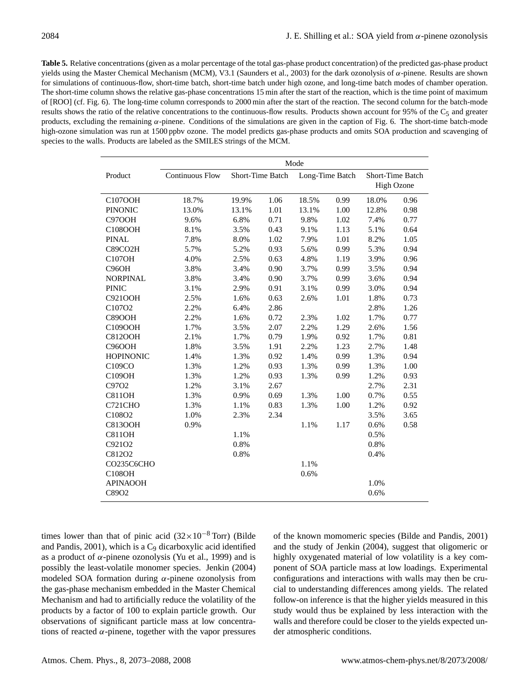**Table 5.** Relative concentrations (given as a molar percentage of the total gas-phase product concentration) of the predicted gas-phase product yields using the Master Chemical Mechanism (MCM), V3.1 (Saunders et al., 2003) for the dark ozonolysis of α-pinene. Results are shown for simulations of continuous-flow, short-time batch, short-time batch under high ozone, and long-time batch modes of chamber operation. The short-time column shows the relative gas-phase concentrations 15 min after the start of the reaction, which is the time point of maximum of [ROO] (cf. Fig. 6). The long-time column corresponds to 2000 min after the start of the reaction. The second column for the batch-mode results shows the ratio of the relative concentrations to the continuous-flow results. Products shown account for 95% of the  $C_5$  and greater products, excluding the remaining  $\alpha$ -pinene. Conditions of the simulations are given in the caption of Fig. 6. The short-time batch-mode high-ozone simulation was run at 1500 ppbv ozone. The model predicts gas-phase products and omits SOA production and scavenging of species to the walls. Products are labeled as the SMILES strings of the MCM.

|                    | Mode                   |                  |      |                 |      |                                       |      |  |  |  |
|--------------------|------------------------|------------------|------|-----------------|------|---------------------------------------|------|--|--|--|
| Product            | <b>Continuous Flow</b> | Short-Time Batch |      | Long-Time Batch |      | Short-Time Batch<br><b>High Ozone</b> |      |  |  |  |
| C107OOH            | 18.7%                  | 19.9%            | 1.06 | 18.5%           | 0.99 | 18.0%                                 | 0.96 |  |  |  |
| <b>PINONIC</b>     | 13.0%                  | 13.1%            | 1.01 | 13.1%           | 1.00 | 12.8%                                 | 0.98 |  |  |  |
| C97OOH             | 9.6%                   | 6.8%             | 0.71 | 9.8%            | 1.02 | 7.4%                                  | 0.77 |  |  |  |
| C108OOH            | 8.1%                   | 3.5%             | 0.43 | 9.1%            | 1.13 | 5.1%                                  | 0.64 |  |  |  |
| <b>PINAL</b>       | 7.8%                   | 8.0%             | 1.02 | 7.9%            | 1.01 | 8.2%                                  | 1.05 |  |  |  |
| C89CO2H            | 5.7%                   | 5.2%             | 0.93 | 5.6%            | 0.99 | 5.3%                                  | 0.94 |  |  |  |
| C107OH             | 4.0%                   | 2.5%             | 0.63 | 4.8%            | 1.19 | 3.9%                                  | 0.96 |  |  |  |
| C <sub>96</sub> OH | 3.8%                   | 3.4%             | 0.90 | 3.7%            | 0.99 | 3.5%                                  | 0.94 |  |  |  |
| <b>NORPINAL</b>    | 3.8%                   | 3.4%             | 0.90 | 3.7%            | 0.99 | 3.6%                                  | 0.94 |  |  |  |
| <b>PINIC</b>       | 3.1%                   | 2.9%             | 0.91 | 3.1%            | 0.99 | 3.0%                                  | 0.94 |  |  |  |
| <b>C921OOH</b>     | 2.5%                   | 1.6%             | 0.63 | 2.6%            | 1.01 | 1.8%                                  | 0.73 |  |  |  |
| C107O2             | 2.2%                   | 6.4%             | 2.86 |                 |      | 2.8%                                  | 1.26 |  |  |  |
| <b>C89OOH</b>      | 2.2%                   | 1.6%             | 0.72 | 2.3%            | 1.02 | 1.7%                                  | 0.77 |  |  |  |
| C109OOH            | 1.7%                   | 3.5%             | 2.07 | 2.2%            | 1.29 | 2.6%                                  | 1.56 |  |  |  |
| <b>C812OOH</b>     | 2.1%                   | 1.7%             | 0.79 | 1.9%            | 0.92 | 1.7%                                  | 0.81 |  |  |  |
| <b>C96OOH</b>      | 1.8%                   | 3.5%             | 1.91 | 2.2%            | 1.23 | 2.7%                                  | 1.48 |  |  |  |
| <b>HOPINONIC</b>   | 1.4%                   | 1.3%             | 0.92 | 1.4%            | 0.99 | 1.3%                                  | 0.94 |  |  |  |
| C109CO             | 1.3%                   | 1.2%             | 0.93 | 1.3%            | 0.99 | 1.3%                                  | 1.00 |  |  |  |
| C109OH             | 1.3%                   | 1.2%             | 0.93 | 1.3%            | 0.99 | 1.2%                                  | 0.93 |  |  |  |
| C97O2              | 1.2%                   | 3.1%             | 2.67 |                 |      | 2.7%                                  | 2.31 |  |  |  |
| <b>C811OH</b>      | 1.3%                   | 0.9%             | 0.69 | 1.3%            | 1.00 | 0.7%                                  | 0.55 |  |  |  |
| <b>C721CHO</b>     | 1.3%                   | 1.1%             | 0.83 | 1.3%            | 1.00 | 1.2%                                  | 0.92 |  |  |  |
| C108O2             | 1.0%                   | 2.3%             | 2.34 |                 |      | 3.5%                                  | 3.65 |  |  |  |
| <b>C813OOH</b>     | 0.9%                   |                  |      | 1.1%            | 1.17 | 0.6%                                  | 0.58 |  |  |  |
| <b>C811OH</b>      |                        | 1.1%             |      |                 |      | 0.5%                                  |      |  |  |  |
| C921O2             |                        | 0.8%             |      |                 |      | 0.8%                                  |      |  |  |  |
| C812O2             |                        | 0.8%             |      |                 |      | 0.4%                                  |      |  |  |  |
| CO235C6CHO         |                        |                  |      | 1.1%            |      |                                       |      |  |  |  |
| C108OH             |                        |                  |      | 0.6%            |      |                                       |      |  |  |  |
| <b>APINAOOH</b>    |                        |                  |      |                 |      | 1.0%                                  |      |  |  |  |
| C89O2              |                        |                  |      |                 |      | 0.6%                                  |      |  |  |  |

times lower than that of pinic acid  $(32\times10^{-8}$  Torr) (Bilde and Pandis,  $2001$ ), which is a  $C_9$  dicarboxylic acid identified as a product of  $\alpha$ -pinene ozonolysis (Yu et al., 1999) and is possibly the least-volatile monomer species. Jenkin (2004) modeled SOA formation during  $\alpha$ -pinene ozonolysis from the gas-phase mechanism embedded in the Master Chemical Mechanism and had to artificially reduce the volatility of the products by a factor of 100 to explain particle growth. Our observations of significant particle mass at low concentrations of reacted  $\alpha$ -pinene, together with the vapor pressures of the known momomeric species (Bilde and Pandis, 2001) and the study of Jenkin (2004), suggest that oligomeric or highly oxygenated material of low volatility is a key component of SOA particle mass at low loadings. Experimental configurations and interactions with walls may then be crucial to understanding differences among yields. The related follow-on inference is that the higher yields measured in this study would thus be explained by less interaction with the walls and therefore could be closer to the yields expected under atmospheric conditions.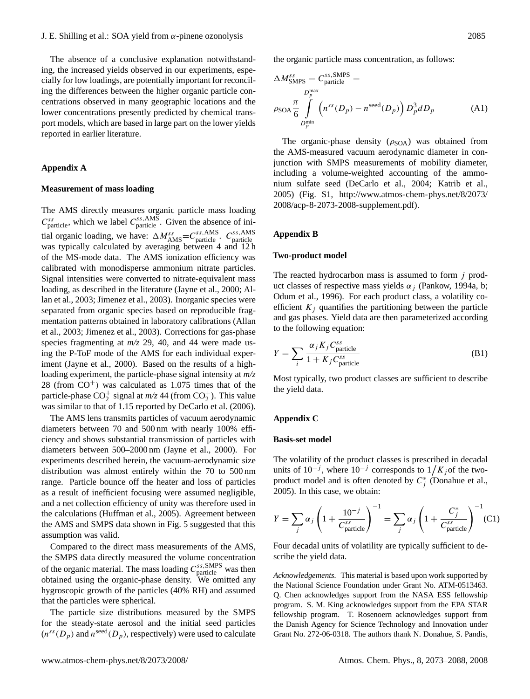The absence of a conclusive explanation notwithstanding, the increased yields observed in our experiments, especially for low loadings, are potentially important for reconciling the differences between the higher organic particle concentrations observed in many geographic locations and the lower concentrations presently predicted by chemical transport models, which are based in large part on the lower yields reported in earlier literature.

#### **Appendix A**

#### **Measurement of mass loading**

The AMS directly measures organic particle mass loading  $C_{\text{particle}}^{ss}$ , which we label  $C_{\text{particle}}^{ss, \text{AMS}}$ . Given the absence of initial organic loading, we have:  $\Delta M_{\rm AMS}^{ss} = C_{\rm particle}^{ss, \rm AMS}$ .  $C_{\rm particle}^{ss, \rm AMS}$ was typically calculated by averaging between 4 and 12 h of the MS-mode data. The AMS ionization efficiency was calibrated with monodisperse ammonium nitrate particles. Signal intensities were converted to nitrate-equivalent mass loading, as described in the literature (Jayne et al., 2000; Allan et al., 2003; Jimenez et al., 2003). Inorganic species were separated from organic species based on reproducible fragmentation patterns obtained in laboratory calibrations (Allan et al., 2003; Jimenez et al., 2003). Corrections for gas-phase species fragmenting at *m/z* 29, 40, and 44 were made using the P-ToF mode of the AMS for each individual experiment (Jayne et al., 2000). Based on the results of a highloading experiment, the particle-phase signal intensity at *m/z* 28 (from  $CO<sup>+</sup>$ ) was calculated as 1.075 times that of the particle-phase  $CO_2^+$  signal at  $m/z$  44 (from  $CO_2^+$ ). This value was similar to that of 1.15 reported by DeCarlo et al. (2006).

The AMS lens transmits particles of vacuum aerodynamic diameters between 70 and 500 nm with nearly 100% efficiency and shows substantial transmission of particles with diameters between 500–2000 nm (Jayne et al., 2000). For experiments described herein, the vacuum-aerodynamic size distribution was almost entirely within the 70 to 500 nm range. Particle bounce off the heater and loss of particles as a result of inefficient focusing were assumed negligible, and a net collection efficiency of unity was therefore used in the calculations (Huffman et al., 2005). Agreement between the AMS and SMPS data shown in Fig. 5 suggested that this assumption was valid.

Compared to the direct mass measurements of the AMS, the SMPS data directly measured the volume concentration of the organic material. The mass loading  $C_{\text{particle}}^{ss,\text{SMPS}}$  was then obtained using the organic-phase density. We omitted any hygroscopic growth of the particles (40% RH) and assumed that the particles were spherical.

The particle size distributions measured by the SMPS for the steady-state aerosol and the initial seed particles  $(n^{ss}(D_p))$  and  $n^{\text{seed}}(D_p)$ , respectively) were used to calculate

the organic particle mass concentration, as follows:

$$
\Delta M_{\text{SMPS}}^{ss} = C_{\text{particle}}^{ss,\text{SMPS}} =
$$
\n
$$
\rho_{\text{SOA}} \frac{\pi}{6} \int_{D_p^{\text{max}}}^{D_p^{\text{max}}} \left( n^{ss}(D_p) - n^{\text{seed}}(D_p) \right) D_p^3 dD_p \tag{A1}
$$

The organic-phase density  $(\rho_{\text{SOA}})$  was obtained from the AMS-measured vacuum aerodynamic diameter in conjunction with SMPS measurements of mobility diameter, including a volume-weighted accounting of the ammonium sulfate seed (DeCarlo et al., 2004; Katrib et al., 2005) (Fig. S1, [http://www.atmos-chem-phys.net/8/2073/](http://www.atmos-chem-phys.net/8/2073/2008/acp-8-2073-2008-supplement.pdf) [2008/acp-8-2073-2008-supplement.pdf\)](http://www.atmos-chem-phys.net/8/2073/2008/acp-8-2073-2008-supplement.pdf).

#### **Appendix B**

#### **Two-product model**

The reacted hydrocarbon mass is assumed to form  $j$  product classes of respective mass yields  $\alpha_i$  (Pankow, 1994a, b; Odum et al., 1996). For each product class, a volatility coefficient  $K_i$  quantifies the partitioning between the particle and gas phases. Yield data are then parameterized according to the following equation:

$$
Y = \sum_{i} \frac{\alpha_j K_j C_{\text{particle}}^{ss}}{1 + K_j C_{\text{particle}}^{ss}} \tag{B1}
$$

Most typically, two product classes are sufficient to describe the yield data.

#### **Appendix C**

#### **Basis-set model**

The volatility of the product classes is prescribed in decadal units of  $10^{-j}$ , where  $10^{-j}$  corresponds to  $1/K_j$  of the twoproduct model and is often denoted by  $C_j^*$  (Donahue et al., 2005). In this case, we obtain:

$$
Y = \sum_{j} \alpha_{j} \left( 1 + \frac{10^{-j}}{C_{\text{particle}}^{ss}} \right)^{-1} = \sum_{j} \alpha_{j} \left( 1 + \frac{C_{j}^{*}}{C_{\text{particle}}^{ss}} \right)^{-1} (\text{C1})
$$

Four decadal units of volatility are typically sufficient to describe the yield data.

*Acknowledgements.* This material is based upon work supported by the National Science Foundation under Grant No. ATM-0513463. Q. Chen acknowledges support from the NASA ESS fellowship program. S. M. King acknowledges support from the EPA STAR fellowship program. T. Rosenoern acknowledges support from the Danish Agency for Science Technology and Innovation under Grant No. 272-06-0318. The authors thank N. Donahue, S. Pandis,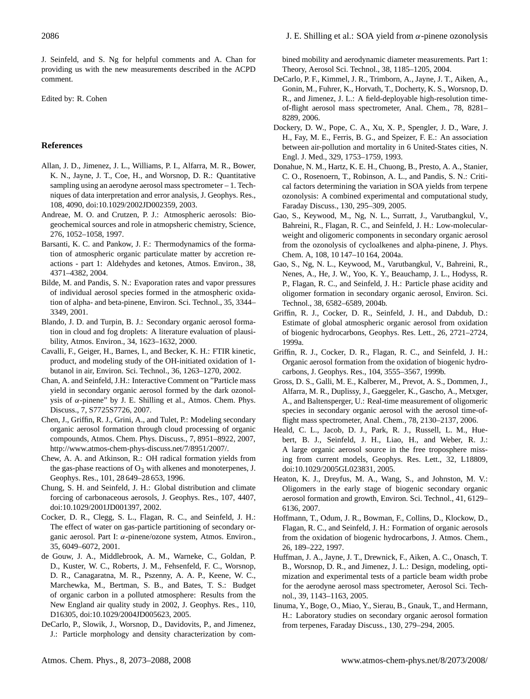J. Seinfeld, and S. Ng for helpful comments and A. Chan for providing us with the new measurements described in the ACPD comment.

Edited by: R. Cohen

# **References**

- Allan, J. D., Jimenez, J. L., Williams, P. I., Alfarra, M. R., Bower, K. N., Jayne, J. T., Coe, H., and Worsnop, D. R.: Quantitative sampling using an aerodyne aerosol mass spectrometer – 1. Techniques of data interpretation and error analysis, J. Geophys. Res., 108, 4090, doi:10.1029/2002JD002359, 2003.
- Andreae, M. O. and Crutzen, P. J.: Atmospheric aerosols: Biogeochemical sources and role in atmopsheric chemistry, Science, 276, 1052–1058, 1997.
- Barsanti, K. C. and Pankow, J. F.: Thermodynamics of the formation of atmospheric organic particulate matter by accretion reactions - part 1: Aldehydes and ketones, Atmos. Environ., 38, 4371–4382, 2004.
- Bilde, M. and Pandis, S. N.: Evaporation rates and vapor pressures of individual aerosol species formed in the atmospheric oxidation of alpha- and beta-pinene, Environ. Sci. Technol., 35, 3344– 3349, 2001.
- Blando, J. D. and Turpin, B. J.: Secondary organic aerosol formation in cloud and fog droplets: A literature evaluation of plausibility, Atmos. Environ., 34, 1623–1632, 2000.
- Cavalli, F., Geiger, H., Barnes, I., and Becker, K. H.: FTIR kinetic, product, and modeling study of the OH-initiated oxidation of 1 butanol in air, Environ. Sci. Technol., 36, 1263–1270, 2002.
- Chan, A. and Seinfeld, J.H.: Interactive Comment on "Particle mass yield in secondary organic aerosol formed by the dark ozonolysis of  $α$ -pinene" by J. E. Shilling et al., Atmos. Chem. Phys. Discuss., 7, S7725S7726, 2007.
- Chen, J., Griffin, R. J., Grini, A., and Tulet, P.: Modeling secondary organic aerosol formation through cloud processing of organic compounds, Atmos. Chem. Phys. Discuss., 7, 8951–8922, 2007, [http://www.atmos-chem-phys-discuss.net/7/8951/2007/.](http://www.atmos-chem-phys-discuss.net/7/8951/2007/)
- Chew, A. A. and Atkinson, R.: OH radical formation yields from the gas-phase reactions of  $O_3$  with alkenes and monoterpenes, J. Geophys. Res., 101, 28 649–28 653, 1996.
- Chung, S. H. and Seinfeld, J. H.: Global distribution and climate forcing of carbonaceous aerosols, J. Geophys. Res., 107, 4407, doi:10.1029/2001JD001397, 2002.
- Cocker, D. R., Clegg, S. L., Flagan, R. C., and Seinfeld, J. H.: The effect of water on gas-particle partitioning of secondary organic aerosol. Part I: α-pinene/ozone system, Atmos. Environ., 35, 6049–6072, 2001.
- de Gouw, J. A., Middlebrook, A. M., Warneke, C., Goldan, P. D., Kuster, W. C., Roberts, J. M., Fehsenfeld, F. C., Worsnop, D. R., Canagaratna, M. R., Pszenny, A. A. P., Keene, W. C., Marchewka, M., Bertman, S. B., and Bates, T. S.: Budget of organic carbon in a polluted atmosphere: Results from the New England air quality study in 2002, J. Geophys. Res., 110, D16305, doi:10.1029/2004JD005623, 2005.
- DeCarlo, P., Slowik, J., Worsnop, D., Davidovits, P., and Jimenez, J.: Particle morphology and density characterization by com-

bined mobility and aerodynamic diameter measurements. Part 1: Theory, Aerosol Sci. Technol., 38, 1185–1205, 2004.

- DeCarlo, P. F., Kimmel, J. R., Trimborn, A., Jayne, J. T., Aiken, A., Gonin, M., Fuhrer, K., Horvath, T., Docherty, K. S., Worsnop, D. R., and Jimenez, J. L.: A field-deployable high-resolution timeof-flight aerosol mass spectrometer, Anal. Chem., 78, 8281– 8289, 2006.
- Dockery, D. W., Pope, C. A., Xu, X. P., Spengler, J. D., Ware, J. H., Fay, M. E., Ferris, B. G., and Speizer, F. E.: An association between air-pollution and mortality in 6 United-States cities, N. Engl. J. Med., 329, 1753–1759, 1993.
- Donahue, N. M., Hartz, K. E. H., Chuong, B., Presto, A. A., Stanier, C. O., Rosenoern, T., Robinson, A. L., and Pandis, S. N.: Critical factors determining the variation in SOA yields from terpene ozonolysis: A combined experimental and computational study, Faraday Discuss., 130, 295–309, 2005.
- Gao, S., Keywood, M., Ng, N. L., Surratt, J., Varutbangkul, V., Bahreini, R., Flagan, R. C., and Seinfeld, J. H.: Low-molecularweight and oligomeric components in secondary organic aerosol from the ozonolysis of cycloalkenes and alpha-pinene, J. Phys. Chem. A, 108, 10 147–10 164, 2004a.
- Gao, S., Ng, N. L., Keywood, M., Varutbangkul, V., Bahreini, R., Nenes, A., He, J. W., Yoo, K. Y., Beauchamp, J. L., Hodyss, R. P., Flagan, R. C., and Seinfeld, J. H.: Particle phase acidity and oligomer formation in secondary organic aerosol, Environ. Sci. Technol., 38, 6582–6589, 2004b.
- Griffin, R. J., Cocker, D. R., Seinfeld, J. H., and Dabdub, D.: Estimate of global atmospheric organic aerosol from oxidation of biogenic hydrocarbons, Geophys. Res. Lett., 26, 2721–2724, 1999a.
- Griffin, R. J., Cocker, D. R., Flagan, R. C., and Seinfeld, J. H.: Organic aerosol formation from the oxidation of biogenic hydrocarbons, J. Geophys. Res., 104, 3555–3567, 1999b.
- Gross, D. S., Galli, M. E., Kalberer, M., Prevot, A. S., Dommen, J., Alfarra, M. R., Duplissy, J., Gaeggeler, K., Gascho, A., Metxger, A., and Baltensperger, U.: Real-time measurement of oligomeric species in secondary organic aerosol with the aerosol time-offlight mass spectrometer, Anal. Chem., 78, 2130–2137, 2006.
- Heald, C. L., Jacob, D. J., Park, R. J., Russell, L. M., Huebert, B. J., Seinfeld, J. H., Liao, H., and Weber, R. J.: A large organic aerosol source in the free troposphere missing from current models, Geophys. Res. Lett., 32, L18809, doi:10.1029/2005GL023831, 2005.
- Heaton, K. J., Dreyfus, M. A., Wang, S., and Johnston, M. V.: Oligomers in the early stage of biogenic secondary organic aerosol formation and growth, Environ. Sci. Technol., 41, 6129– 6136, 2007.
- Hoffmann, T., Odum, J. R., Bowman, F., Collins, D., Klockow, D., Flagan, R. C., and Seinfeld, J. H.: Formation of organic aerosols from the oxidation of biogenic hydrocarbons, J. Atmos. Chem., 26, 189–222, 1997.
- Huffman, J. A., Jayne, J. T., Drewnick, F., Aiken, A. C., Onasch, T. B., Worsnop, D. R., and Jimenez, J. L.: Design, modeling, optimization and experimental tests of a particle beam width probe for the aerodyne aerosol mass spectrometer, Aerosol Sci. Technol., 39, 1143–1163, 2005.
- Iinuma, Y., Boge, O., Miao, Y., Sierau, B., Gnauk, T., and Hermann, H.: Laboratory studies on secondary organic aerosol formation from terpenes, Faraday Discuss., 130, 279–294, 2005.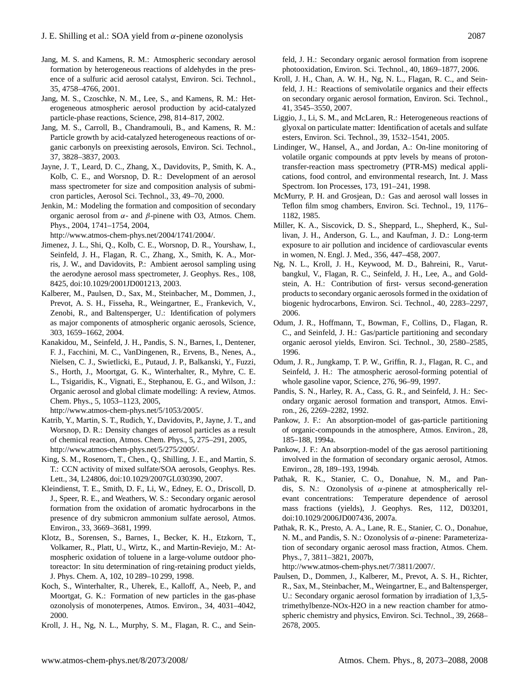- Jang, M. S. and Kamens, R. M.: Atmospheric secondary aerosol formation by heterogeneous reactions of aldehydes in the presence of a sulfuric acid aerosol catalyst, Environ. Sci. Technol., 35, 4758–4766, 2001.
- Jang, M. S., Czoschke, N. M., Lee, S., and Kamens, R. M.: Heterogeneous atmospheric aerosol production by acid-catalyzed particle-phase reactions, Science, 298, 814–817, 2002.
- Jang, M. S., Carroll, B., Chandramouli, B., and Kamens, R. M.: Particle growth by acid-catalyzed heterogeneous reactions of organic carbonyls on preexisting aerosols, Environ. Sci. Technol., 37, 3828–3837, 2003.
- Jayne, J. T., Leard, D. C., Zhang, X., Davidovits, P., Smith, K. A., Kolb, C. E., and Worsnop, D. R.: Development of an aerosol mass spectrometer for size and composition analysis of submicron particles, Aerosol Sci. Technol., 33, 49–70, 2000.
- Jenkin, M.: Modeling the formation and composition of secondary organic aerosol from α- and β-pinene with O3, Atmos. Chem. Phys., 2004, 1741–1754, 2004,

[http://www.atmos-chem-phys.net/2004/1741/2004/.](http://www.atmos-chem-phys.net/2004/1741/2004/)

- Jimenez, J. L., Shi, Q., Kolb, C. E., Worsnop, D. R., Yourshaw, I., Seinfeld, J. H., Flagan, R. C., Zhang, X., Smith, K. A., Morris, J. W., and Davidovits, P.: Ambient aerosol sampling using the aerodyne aerosol mass spectrometer, J. Geophys. Res., 108, 8425, doi:10.1029/2001JD001213, 2003.
- Kalberer, M., Paulsen, D., Sax, M., Steinbacher, M., Dommen, J., Prevot, A. S. H., Fisseha, R., Weingartner, E., Frankevich, V., Zenobi, R., and Baltensperger, U.: Identification of polymers as major components of atmospheric organic aerosols, Science, 303, 1659–1662, 2004.
- Kanakidou, M., Seinfeld, J. H., Pandis, S. N., Barnes, I., Dentener, F. J., Facchini, M. C., VanDingenen, R., Ervens, B., Nenes, A., Nielsen, C. J., Swietlicki, E., Putaud, J. P., Balkanski, Y., Fuzzi, S., Horth, J., Moortgat, G. K., Winterhalter, R., Myhre, C. E. L., Tsigaridis, K., Vignati, E., Stephanou, E. G., and Wilson, J.: Organic aerosol and global climate modelling: A review, Atmos. Chem. Phys., 5, 1053–1123, 2005,

[http://www.atmos-chem-phys.net/5/1053/2005/.](http://www.atmos-chem-phys.net/5/1053/2005/)

- Katrib, Y., Martin, S. T., Rudich, Y., Davidovits, P., Jayne, J. T., and Worsnop, D. R.: Density changes of aerosol particles as a result of chemical reaction, Atmos. Chem. Phys., 5, 275–291, 2005, [http://www.atmos-chem-phys.net/5/275/2005/.](http://www.atmos-chem-phys.net/5/275/2005/)
- King, S. M., Rosenorn, T., Chen., Q., Shilling, J. E., and Martin, S. T.: CCN activity of mixed sulfate/SOA aerosols, Geophys. Res. Lett., 34, L24806, doi:10.1029/2007GL030390, 2007.
- Kleindienst, T. E., Smith, D. F., Li, W., Edney, E. O., Driscoll, D. J., Speer, R. E., and Weathers, W. S.: Secondary organic aerosol formation from the oxidation of aromatic hydrocarbons in the presence of dry submicron ammonium sulfate aerosol, Atmos. Environ., 33, 3669–3681, 1999.
- Klotz, B., Sorensen, S., Barnes, I., Becker, K. H., Etzkorn, T., Volkamer, R., Platt, U., Wirtz, K., and Martin-Reviejo, M.: Atmospheric oxidation of toluene in a large-volume outdoor photoreactor: In situ determination of ring-retaining product yields, J. Phys. Chem. A, 102, 10 289–10 299, 1998.
- Koch, S., Winterhalter, R., Uherek, E., Kalloff, A., Neeb, P., and Moortgat, G. K.: Formation of new particles in the gas-phase ozonolysis of monoterpenes, Atmos. Environ., 34, 4031–4042, 2000.
- Kroll, J. H., Ng, N. L., Murphy, S. M., Flagan, R. C., and Sein-

feld, J. H.: Secondary organic aerosol formation from isoprene photooxidation, Environ. Sci. Technol., 40, 1869–1877, 2006.

- Kroll, J. H., Chan, A. W. H., Ng, N. L., Flagan, R. C., and Seinfeld, J. H.: Reactions of semivolatile organics and their effects on secondary organic aerosol formation, Environ. Sci. Technol., 41, 3545–3550, 2007.
- Liggio, J., Li, S. M., and McLaren, R.: Heterogeneous reactions of glyoxal on particulate matter: Identification of acetals and sulfate esters, Environ. Sci. Technol., 39, 1532–1541, 2005.
- Lindinger, W., Hansel, A., and Jordan, A.: On-line monitoring of volatile organic compounds at pptv levels by means of protontransfer-reaction mass spectrometry (PTR-MS) medical applications, food control, and environmental research, Int. J. Mass Spectrom. Ion Processes, 173, 191–241, 1998.
- McMurry, P. H. and Grosjean, D.: Gas and aerosol wall losses in Teflon film smog chambers, Environ. Sci. Technol., 19, 1176– 1182, 1985.
- Miller, K. A., Siscovick, D. S., Sheppard, L., Shepherd, K., Sullivan, J. H., Anderson, G. L., and Kaufman, J. D.: Long-term exposure to air pollution and incidence of cardiovascular events in women, N. Engl. J. Med., 356, 447–458, 2007.
- Ng, N. L., Kroll, J. H., Keywood, M. D., Bahreini, R., Varutbangkul, V., Flagan, R. C., Seinfeld, J. H., Lee, A., and Goldstein, A. H.: Contribution of first- versus second-generation products to secondary organic aerosols formed in the oxidation of biogenic hydrocarbons, Environ. Sci. Technol., 40, 2283–2297, 2006.
- Odum, J. R., Hoffmann, T., Bowman, F., Collins, D., Flagan, R. C., and Seinfeld, J. H.: Gas/particle partitioning and secondary organic aerosol yields, Environ. Sci. Technol., 30, 2580–2585, 1996.
- Odum, J. R., Jungkamp, T. P. W., Griffin, R. J., Flagan, R. C., and Seinfeld, J. H.: The atmospheric aerosol-forming potential of whole gasoline vapor, Science, 276, 96–99, 1997.
- Pandis, S. N., Harley, R. A., Cass, G. R., and Seinfeld, J. H.: Secondary organic aerosol formation and transport, Atmos. Environ., 26, 2269–2282, 1992.
- Pankow, J. F.: An absorption-model of gas-particle partitioning of organic-compounds in the atmosphere, Atmos. Environ., 28, 185–188, 1994a.
- Pankow, J. F.: An absorption-model of the gas aerosol partitioning involved in the formation of secondary organic aerosol, Atmos. Environ., 28, 189–193, 1994b.
- Pathak, R. K., Stanier, C. O., Donahue, N. M., and Pandis, S. N.: Ozonolysis of  $\alpha$ -pinene at atmospherically relevant concentrations: Temperature dependence of aerosol mass fractions (yields), J. Geophys. Res, 112, D03201, doi:10.1029/2006JD007436, 2007a.
- Pathak, R. K., Presto, A. A., Lane, R. E., Stanier, C. O., Donahue, N. M., and Pandis, S. N.: Ozonolysis of α-pinene: Parameterization of secondary organic aerosol mass fraction, Atmos. Chem. Phys., 7, 3811–3821, 2007b,

[http://www.atmos-chem-phys.net/7/3811/2007/.](http://www.atmos-chem-phys.net/7/3811/2007/)

Paulsen, D., Dommen, J., Kalberer, M., Prevot, A. S. H., Richter, R., Sax, M., Steinbacher, M., Weingartner, E., and Baltensperger, U.: Secondary organic aerosol formation by irradiation of 1,3,5 trimethylbenze-NOx-H2O in a new reaction chamber for atmospheric chemistry and physics, Environ. Sci. Technol., 39, 2668– 2678, 2005.